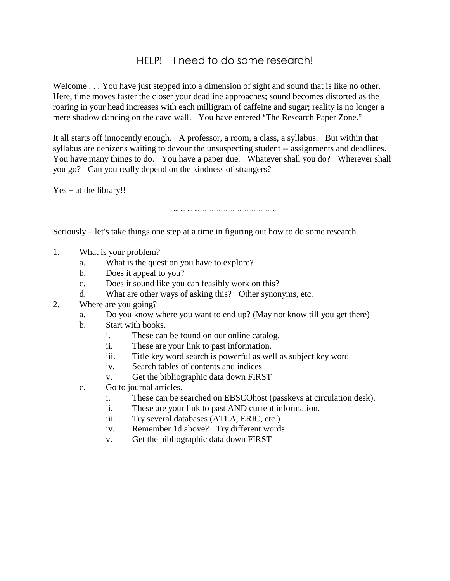## HELP! I need to do some research!

Welcome . . . You have just stepped into a dimension of sight and sound that is like no other. Here, time moves faster the closer your deadline approaches; sound becomes distorted as the roaring in your head increases with each milligram of caffeine and sugar; reality is no longer a mere shadow dancing on the cave wall. You have entered "The Research Paper Zone."

It all starts off innocently enough. A professor, a room, a class, a syllabus. But within that syllabus are denizens waiting to devour the unsuspecting student -- assignments and deadlines. You have many things to do. You have a paper due. Whatever shall you do? Wherever shall you go? Can you really depend on the kindness of strangers?

 $Yes - at the library!!$ 

~ ~ ~ ~ ~ ~ ~ ~ ~ ~ ~ ~ ~ ~ ~

Seriously  $-$  let's take things one step at a time in figuring out how to do some research.

- 1. What is your problem?
	- a. What is the question you have to explore?
	- b. Does it appeal to you?
	- c. Does it sound like you can feasibly work on this?
	- d. What are other ways of asking this? Other synonyms, etc.
- 2. Where are you going?
	- a. Do you know where you want to end up? (May not know till you get there)
	- b. Start with books.
		- i. These can be found on our online catalog.
		- ii. These are your link to past information.
		- iii. Title key word search is powerful as well as subject key word
		- iv. Search tables of contents and indices
		- v. Get the bibliographic data down FIRST
	- c. Go to journal articles.
		- i. These can be searched on EBSCOhost (passkeys at circulation desk).
		- ii. These are your link to past AND current information.
		- iii. Try several databases (ATLA, ERIC, etc.)
		- iv. Remember 1d above? Try different words.
		- v. Get the bibliographic data down FIRST